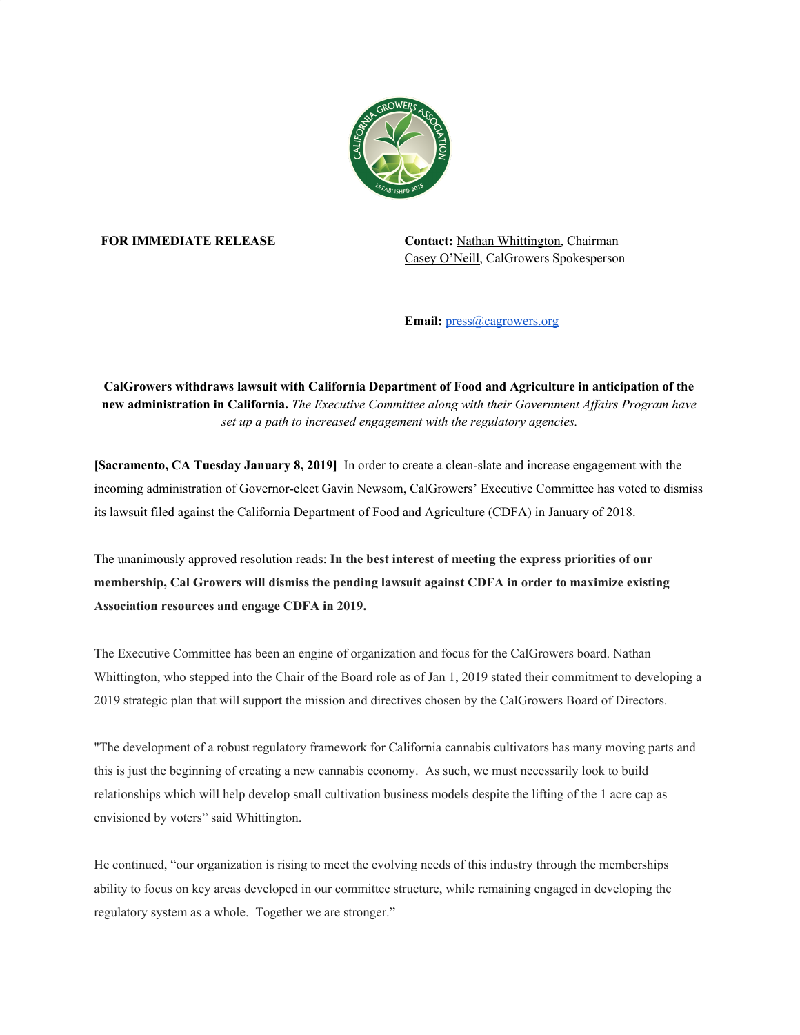

**FOR IMMEDIATE RELEASE Contact:** Nathan Whittington, Chairman Casey O'Neill, CalGrowers Spokesperson

**Email:** [press@cagrowers.org](mailto:press@cagrowers.org)

**CalGrowers withdraws lawsuit with California Department of Food and Agriculture in anticipation of the new administration in California.** *The Executive Committee along with their Government Af airs Program have set up a path to increased engagement with the regulatory agencies.*

**[Sacramento, CA Tuesday January 8, 2019]** In order to create a clean-slate and increase engagement with the incoming administration of Governor-elect Gavin Newsom, CalGrowers' Executive Committee has voted to dismiss its lawsuit filed against the California Department of Food and Agriculture (CDFA) in January of 2018.

The unanimously approved resolution reads: **In the best interest of meeting the express priorities of our membership, Cal Growers will dismiss the pending lawsuit against CDFA in order to maximize existing Association resources and engage CDFA in 2019.**

The Executive Committee has been an engine of organization and focus for the CalGrowers board. Nathan Whittington, who stepped into the Chair of the Board role as of Jan 1, 2019 stated their commitment to developing a 2019 strategic plan that will support the mission and directives chosen by the CalGrowers Board of Directors.

"The development of a robust regulatory framework for California cannabis cultivators has many moving parts and this is just the beginning of creating a new cannabis economy. As such, we must necessarily look to build relationships which will help develop small cultivation business models despite the lifting of the 1 acre cap as envisioned by voters" said Whittington.

He continued, "our organization is rising to meet the evolving needs of this industry through the memberships ability to focus on key areas developed in our committee structure, while remaining engaged in developing the regulatory system as a whole. Together we are stronger."